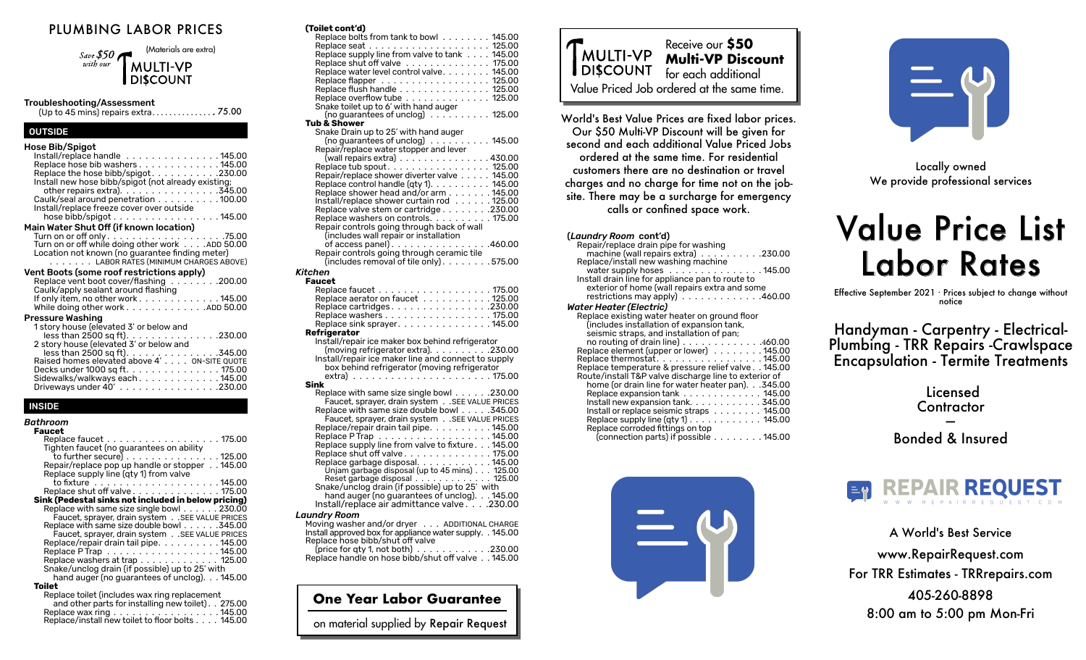# PLUMBING LABOR PRICES

(Materials are extra) Save \$50 with our **MULTI-VP DISCOUNT** 

#### Troubleshooting/Assessment

(Up to 45 mins) repairs extra . . . . . . . . . . . . . . .. 75.00

## **OUTSIDE**

## INSIDE

| Bathroom                                              |
|-------------------------------------------------------|
| Faucet                                                |
| Replace faucet 175.00                                 |
| Tighten faucet (no guarantees on ability              |
| to further secure) $\dots\dots\dots\dots\dots$ 125.00 |
| Repair/replace pop up handle or stopper 145.00        |
| Replace supply line (gty 1) from valve                |
| to fixture ......................145.00               |
| Replace shut off valve 175.00                         |
| Sink (Pedestal sinks not included in below pricing)   |
| Replace with same size single bowl 230.00             |
| Faucet, sprayer, drain system SEE VALUE PRICES        |
| Replace with same size double bowl 345.00             |
| Faucet, sprayer, drain system SEE VALUE PRICES        |
| Replace/repair drain tail pipe. 145.00                |
| Replace P Trap 145.00                                 |
| Replace washers at trap 125.00                        |
| Snake/unclog drain (if possible) up to 25' with       |
| hand auger (no quarantees of unclog). 145.00          |
| Toilet                                                |
| Replace toilet (includes wax ring replacement         |
| and other parts for installing new toilet). 275.00    |
| Replace wax ring 145.00                               |
| Replace/install new toilet to floor bolts 145.00      |

| (Toilet cont'd)                                                                   |
|-----------------------------------------------------------------------------------|
| Replace bolts from tank to bowl ........ 145.00                                   |
|                                                                                   |
| Replace supply line from valve to tank 145.00                                     |
| Replace shut off valve 175.00                                                     |
| Replace water level control valve. 145.00                                         |
| Replace flapper 125.00                                                            |
| Replace flush handle 125.00                                                       |
| Replace overflow tube 125.00                                                      |
| Snake toilet up to 6' with hand auger<br>(no guarantees of unclog) 125.00         |
| <b>Tub &amp; Shower</b>                                                           |
| Snake Drain up to 25' with hand auger                                             |
| (no guarantees of unclog) 145.00                                                  |
| Repair/replace water stopper and lever                                            |
| (wall repairs extra) $\ldots \ldots \ldots \ldots \ldots$ 430.00                  |
| Replace tub spout. 125.00                                                         |
| Repair/replace shower diverter valve 145.00                                       |
|                                                                                   |
| Replace control handle (qty 1). 145.00<br>Replace shower head and/or arm 145.00   |
| Install/replace shower curtain rod 125.00                                         |
| Replace valve stem or cartridge 230.00                                            |
| Replace washers on controls175.00                                                 |
| Repair controls going through back of wall                                        |
| (includes wall repair or installation                                             |
| of access panel). 460.00                                                          |
| Repair controls going through ceramic tile                                        |
| (includes removal of tile only). 575.00                                           |
| Kitchen                                                                           |
| Faucet                                                                            |
| Replace faucet 175.00<br>Replace aerator on faucet   125.00                       |
|                                                                                   |
| Replace cartridges. 230.00<br>Replace washers 175.00                              |
| Replace sink sprayer. 145.00                                                      |
| Refrigerator                                                                      |
| Install/repair ice maker box behind refrigerator                                  |
| (moving refrigerator extra). 230.00                                               |
| Install/repair ice maker line and connect to supply                               |
| box behind refrigerator (moving refrigerator                                      |
|                                                                                   |
| Sink                                                                              |
| Replace with same size single bowl 230.00                                         |
| Faucet, sprayer, drain system SEE VALUE PRICES                                    |
| Replace with same size double bowl 345.00                                         |
| Faucet, sprayer, drain system SEE VALUE PRICES                                    |
| Replace/repair drain tail pipe. 145.00                                            |
| Replace P Trap<br>Replace supply line from valve to fixture145.00                 |
|                                                                                   |
| Replace shut off valve 175.00                                                     |
| Replace garbage disposal. 145.00<br>Unjam garbage disposal (up to 45 mins) 125.00 |
|                                                                                   |
| Reset garbage disposal<br>Snake/unclog drain (if possible) up to 25' with         |
|                                                                                   |

hand auger (no guarantees of unclog). 145.00 Install/replace air admittance valve. 230.00

#### *Laundry Room*

| Moving washer and/or dryer ADDITIONAL CHARGE                      |  |
|-------------------------------------------------------------------|--|
| Install approved box for appliance water supply. . 145.00         |  |
| Replace hose bibb/shut off valve                                  |  |
| (price for qty 1, not both) $\ldots \ldots \ldots \ldots$ .230.00 |  |

Replace handle on hose bibb/shut off valve . 145.00

**One Year Labor Guarantee**

on material supplied by Repair Request



World's Best Value Prices are fixed labor prices. Our \$50 Multi-VP Discount will be given for second and each additional Value Priced Jobs ordered at the same time. For residential customers there are no destination or travel charges and no charge for time not on the jobsite. There may be a surcharge for emergency calls or confined space work.

#### (*Laundry Room* cont'd) Repair/replace drain pipe for washing

| machine (wall repairs extra) $\ldots$ ,   .230.00                |
|------------------------------------------------------------------|
| Replace/install new washing machine                              |
| water supply hoses $\dots\dots\dots\dots\dots$ . 145.00          |
| Install drain line for appliance pan to route to                 |
| exterior of home (wall repairs extra and some                    |
| restrictions may apply $\ldots$ 460.00                           |
| Water Heater (Electric)                                          |
| Replace existing water heater on ground floor                    |
| (includes installation of expansion tank,                        |
| seismic straps, and installation of pan;                         |
| no routing of drain line $\ldots$ 460.00                         |
| Replace element (upper or lower) 145.00                          |
| Replace thermostat. 145.00                                       |
| Replace temperature & pressure relief valve 145.00               |
| Route/install T&P valve discharge line to exterior of            |
| home (or drain line for water heater pan).345.00                 |
| Replace expansion $t$ ank $\ldots \ldots \ldots \ldots$ 145.00   |
| Install new expansion tank. $\ldots \ldots \ldots \ldots$ 345.00 |
| Install or replace seismic straps 145.00                         |
| Replace supply line $(qty 1)$ 145.00                             |
| Replace corroded fittings on top                                 |
| (connection parts) if possible 145.00                            |
|                                                                  |





Locally owned We provide professional services

# **Value Price List** Labor Rates

Effective September 2021 · Prices subject to change without notice

Handyman - Carpentry - Electrical-Plumbing - TRR Repairs -Crawlspace Encapsulation - Termite Treatments

| Licensed<br>Contractor      |  |
|-----------------------------|--|
|                             |  |
| <b>Bonded &amp; Insured</b> |  |

A World's Best Service www.RepairRequest.com For TRR Estimates - TRRrepairs.com 405-260-8898 8:00 am to 5:00 pm Mon-Fri